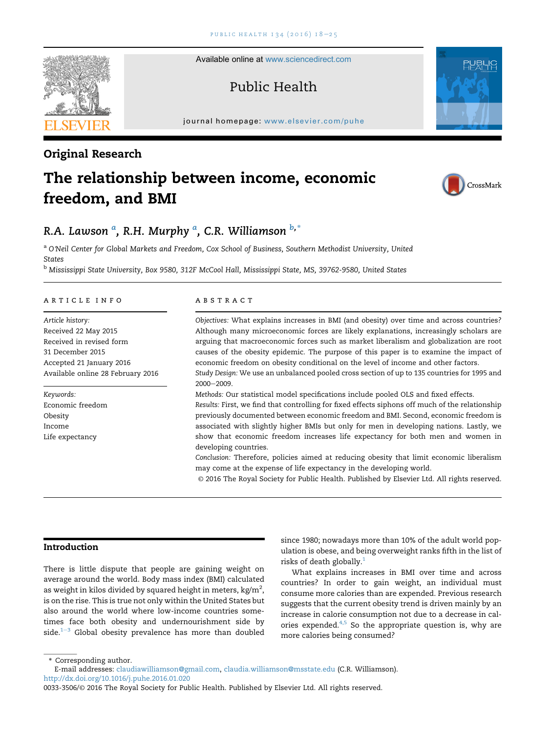Available online at [www.sciencedirect.com](www.sciencedirect.com/science/journal/00333506)

## Public Health

journal homepage: <www.elsevier.com/puhe>

### Original Research

# The relationship between income, economic freedom, and BMI

## R.A. Lawson <sup>a</sup>, R.H. Murphy <sup>a</sup>, C.R. Williamson <sup>b,\*</sup>

a O'Neil Center for Global Markets and Freedom, Cox School of Business, Southern Methodist University, United States

<sup>b</sup> Mississippi State University, Box 9580, 312F McCool Hall, Mississippi State, MS, 39762-9580, United States

#### article info

Article history: Received 22 May 2015 Received in revised form 31 December 2015 Accepted 21 January 2016 Available online 28 February 2016

Keywords: Economic freedom Obesity Income Life expectancy

#### abstract

Objectives: What explains increases in BMI (and obesity) over time and across countries? Although many microeconomic forces are likely explanations, increasingly scholars are arguing that macroeconomic forces such as market liberalism and globalization are root causes of the obesity epidemic. The purpose of this paper is to examine the impact of economic freedom on obesity conditional on the level of income and other factors. Study Design: We use an unbalanced pooled cross section of up to 135 countries for 1995 and 2000-2009.

Methods: Our statistical model specifications include pooled OLS and fixed effects.

Results: First, we find that controlling for fixed effects siphons off much of the relationship previously documented between economic freedom and BMI. Second, economic freedom is associated with slightly higher BMIs but only for men in developing nations. Lastly, we show that economic freedom increases life expectancy for both men and women in developing countries.

Conclusion: Therefore, policies aimed at reducing obesity that limit economic liberalism may come at the expense of life expectancy in the developing world.

© 2016 The Royal Society for Public Health. Published by Elsevier Ltd. All rights reserved.

#### Introduction

There is little dispute that people are gaining weight on average around the world. Body mass index (BMI) calculated as weight in kilos divided by squared height in meters, kg/m<sup>2</sup>, is on the rise. This is true not only within the United States but also around the world where low-income countries sometimes face both obesity and undernourishment side by side. $1-3$  $1-3$  Global obesity prevalence has more than doubled

since 1980; nowadays more than 10% of the adult world population is obese, and being overweight ranks fifth in the list of risks of death globally.<sup>[1](#page-6-0)</sup>

What explains increases in BMI over time and across countries? In order to gain weight, an individual must consume more calories than are expended. Previous research suggests that the current obesity trend is driven mainly by an increase in calorie consumption not due to a decrease in calories expended. $4,5$  So the appropriate question is, why are more calories being consumed?

\* Corresponding author.







E-mail addresses: [claudiawilliamson@gmail.com](mailto:claudiawilliamson@gmail.com), [claudia.williamson@msstate.edu](mailto:claudia.williamson@msstate.edu) (C.R. Williamson). <http://dx.doi.org/10.1016/j.puhe.2016.01.020>

<sup>0033-3506/</sup>© 2016 The Royal Society for Public Health. Published by Elsevier Ltd. All rights reserved.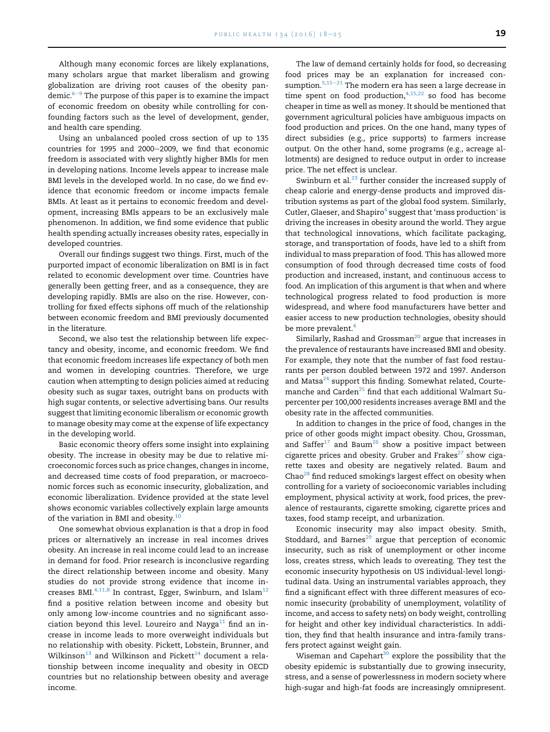Although many economic forces are likely explanations, many scholars argue that market liberalism and growing globalization are driving root causes of the obesity pan $d$ emic.<sup>6–[9](#page-6-0)</sup> The purpose of this paper is to examine the impact of economic freedom on obesity while controlling for confounding factors such as the level of development, gender, and health care spending.

Using an unbalanced pooled cross section of up to 135 countries for 1995 and 2000 $-$ 2009, we find that economic freedom is associated with very slightly higher BMIs for men in developing nations. Income levels appear to increase male BMI levels in the developed world. In no case, do we find evidence that economic freedom or income impacts female BMIs. At least as it pertains to economic freedom and development, increasing BMIs appears to be an exclusively male phenomenon. In addition, we find some evidence that public health spending actually increases obesity rates, especially in developed countries.

Overall our findings suggest two things. First, much of the purported impact of economic liberalization on BMI is in fact related to economic development over time. Countries have generally been getting freer, and as a consequence, they are developing rapidly. BMIs are also on the rise. However, controlling for fixed effects siphons off much of the relationship between economic freedom and BMI previously documented in the literature.

Second, we also test the relationship between life expectancy and obesity, income, and economic freedom. We find that economic freedom increases life expectancy of both men and women in developing countries. Therefore, we urge caution when attempting to design policies aimed at reducing obesity such as sugar taxes, outright bans on products with high sugar contents, or selective advertising bans. Our results suggest that limiting economic liberalism or economic growth to manage obesity may come at the expense of life expectancy in the developing world.

Basic economic theory offers some insight into explaining obesity. The increase in obesity may be due to relative microeconomic forces such as price changes, changes in income, and decreased time costs of food preparation, or macroeconomic forces such as economic insecurity, globalization, and economic liberalization. Evidence provided at the state level shows economic variables collectively explain large amounts of the variation in BMI and obesity[.10](#page-6-0)

One somewhat obvious explanation is that a drop in food prices or alternatively an increase in real incomes drives obesity. An increase in real income could lead to an increase in demand for food. Prior research is inconclusive regarding the direct relationship between income and obesity. Many studies do not provide strong evidence that income increases BMI. $^{4,11,8}$  $^{4,11,8}$  $^{4,11,8}$  In contrast, Egger, Swinburn, and Islam<sup>[12](#page-6-0)</sup> find a positive relation between income and obesity but only among low-income countries and no significant association beyond this level. Loureiro and Nayga $^{11}$  $^{11}$  $^{11}$  find an increase in income leads to more overweight individuals but no relationship with obesity. Pickett, Lobstein, Brunner, and Wilkinson<sup>[13](#page-6-0)</sup> and Wilkinson and Pickett<sup>[14](#page-6-0)</sup> document a relationship between income inequality and obesity in OECD countries but no relationship between obesity and average income.

The law of demand certainly holds for food, so decreasing food prices may be an explanation for increased con-sumption.<sup>[5,15](#page-6-0)-[21](#page-6-0)</sup> The modern era has seen a large decrease in time spent on food production, $4,15,22$  so food has become cheaper in time as well as money. It should be mentioned that government agricultural policies have ambiguous impacts on food production and prices. On the one hand, many types of direct subsidies (e.g., price supports) to farmers increase output. On the other hand, some programs (e.g., acreage allotments) are designed to reduce output in order to increase price. The net effect is unclear.

Swinburn et al. $^{23}$  $^{23}$  $^{23}$  further consider the increased supply of cheap calorie and energy-dense products and improved distribution systems as part of the global food system. Similarly, Cutler, Glaeser, and Shapiro<sup>4</sup> suggest that 'mass production' is driving the increases in obesity around the world. They argue that technological innovations, which facilitate packaging, storage, and transportation of foods, have led to a shift from individual to mass preparation of food. This has allowed more consumption of food through decreased time costs of food production and increased, instant, and continuous access to food. An implication of this argument is that when and where technological progress related to food production is more widespread, and where food manufacturers have better and easier access to new production technologies, obesity should be more prevalent.<sup>[4](#page-6-0)</sup>

Similarly, Rashad and Grossman<sup>[20](#page-6-0)</sup> argue that increases in the prevalence of restaurants have increased BMI and obesity. For example, they note that the number of fast food restaurants per person doubled between 1972 and 1997. Anderson and Matsa $^{24}$  $^{24}$  $^{24}$  support this finding. Somewhat related, Courte-manche and Carden<sup>[25](#page-6-0)</sup> find that each additional Walmart Supercenter per 100,000 residents increases average BMI and the obesity rate in the affected communities.

In addition to changes in the price of food, changes in the price of other goods might impact obesity. Chou, Grossman, and Saffer<sup>17</sup> and Baum<sup>[26](#page-6-0)</sup> show a positive impact between cigarette prices and obesity. Gruber and Frakes $27$  show cigarette taxes and obesity are negatively related. Baum and Chao<sup>[28](#page-6-0)</sup> find reduced smoking's largest effect on obesity when controlling for a variety of socioeconomic variables including employment, physical activity at work, food prices, the prevalence of restaurants, cigarette smoking, cigarette prices and taxes, food stamp receipt, and urbanization.

Economic insecurity may also impact obesity. Smith, Stoddard, and Barnes $^{29}$  argue that perception of economic insecurity, such as risk of unemployment or other income loss, creates stress, which leads to overeating. They test the economic insecurity hypothesis on US individual-level longitudinal data. Using an instrumental variables approach, they find a significant effect with three different measures of economic insecurity (probability of unemployment, volatility of income, and access to safety nets) on body weight, controlling for height and other key individual characteristics. In addition, they find that health insurance and intra-family transfers protect against weight gain.

Wiseman and Capehart<sup>30</sup> explore the possibility that the obesity epidemic is substantially due to growing insecurity, stress, and a sense of powerlessness in modern society where high-sugar and high-fat foods are increasingly omnipresent.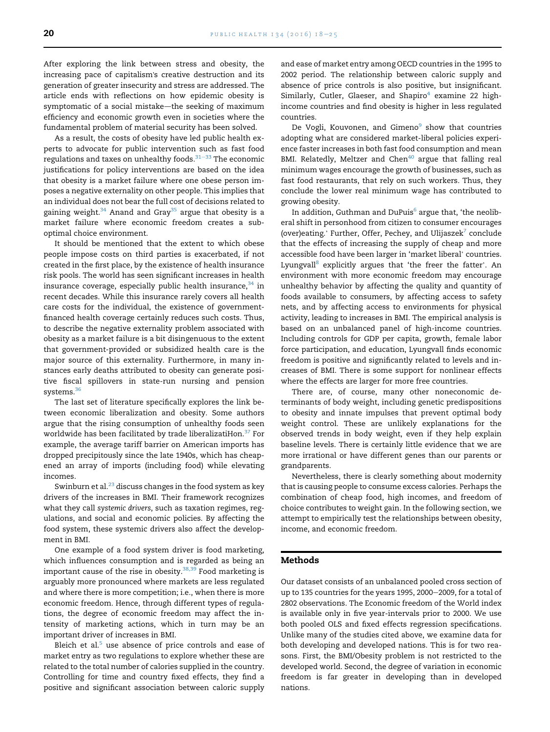After exploring the link between stress and obesity, the increasing pace of capitalism's creative destruction and its generation of greater insecurity and stress are addressed. The article ends with reflections on how epidemic obesity is symptomatic of a social mistake-the seeking of maximum efficiency and economic growth even in societies where the fundamental problem of material security has been solved.

As a result, the costs of obesity have led public health experts to advocate for public intervention such as fast food regulations and taxes on unhealthy foods. $31-33$  $31-33$  The economic justifications for policy interventions are based on the idea that obesity is a market failure where one obese person imposes a negative externality on other people. This implies that an individual does not bear the full cost of decisions related to gaining weight. $34$  Anand and Gray<sup>35</sup> argue that obesity is a market failure where economic freedom creates a suboptimal choice environment.

It should be mentioned that the extent to which obese people impose costs on third parties is exacerbated, if not created in the first place, by the existence of health insurance risk pools. The world has seen significant increases in health insurance coverage, especially public health insurance, $34$  in recent decades. While this insurance rarely covers all health care costs for the individual, the existence of governmentfinanced health coverage certainly reduces such costs. Thus, to describe the negative externality problem associated with obesity as a market failure is a bit disingenuous to the extent that government-provided or subsidized health care is the major source of this externality. Furthermore, in many instances early deaths attributed to obesity can generate positive fiscal spillovers in state-run nursing and pension systems.<sup>36</sup>

The last set of literature specifically explores the link between economic liberalization and obesity. Some authors argue that the rising consumption of unhealthy foods seen worldwide has been facilitated by trade liberalizatiHon.<sup>[37](#page-7-0)</sup> For example, the average tariff barrier on American imports has dropped precipitously since the late 1940s, which has cheapened an array of imports (including food) while elevating incomes.

Swinburn et al. $^{23}$  discuss changes in the food system as key drivers of the increases in BMI. Their framework recognizes what they call systemic drivers, such as taxation regimes, regulations, and social and economic policies. By affecting the food system, these systemic drivers also affect the development in BMI.

One example of a food system driver is food marketing, which influences consumption and is regarded as being an important cause of the rise in obesity.<sup>[38,39](#page-7-0)</sup> Food marketing is arguably more pronounced where markets are less regulated and where there is more competition; i.e., when there is more economic freedom. Hence, through different types of regulations, the degree of economic freedom may affect the intensity of marketing actions, which in turn may be an important driver of increases in BMI.

Bleich et al. $5$  use absence of price controls and ease of market entry as two regulations to explore whether these are related to the total number of calories supplied in the country. Controlling for time and country fixed effects, they find a positive and significant association between caloric supply

and ease of market entry among OECD countries in the 1995 to 2002 period. The relationship between caloric supply and absence of price controls is also positive, but insignificant. Similarly, Cutler, Glaeser, and Shapiro $4$  examine 22 highincome countries and find obesity is higher in less regulated countries.

De Vogli, Kouvonen, and Gimeno<sup>9</sup> show that countries adopting what are considered market-liberal policies experience faster increases in both fast food consumption and mean BMI. Relatedly, Meltzer and Chen $40$  argue that falling real minimum wages encourage the growth of businesses, such as fast food restaurants, that rely on such workers. Thus, they conclude the lower real minimum wage has contributed to growing obesity.

In addition, Guthman and DuPuis<sup>[6](#page-6-0)</sup> argue that, 'the neoliberal shift in personhood from citizen to consumer encourages (over)eating.' Further, Offer, Pechey, and Ulijaszek[7](#page-6-0) conclude that the effects of increasing the supply of cheap and more that the effects of increasing the supply of cheap and more<br>accessible food have been larger in 'market liberal' countries. accessible food have been larger in 'market liberal' countries.<br>Lyungvall<sup>8</sup> explicitly argues that 'the freer the fatter'. An environment with more economic freedom may encourage unhealthy behavior by affecting the quality and quantity of foods available to consumers, by affecting access to safety nets, and by affecting access to environments for physical activity, leading to increases in BMI. The empirical analysis is based on an unbalanced panel of high-income countries. Including controls for GDP per capita, growth, female labor force participation, and education, Lyungvall finds economic freedom is positive and significantly related to levels and increases of BMI. There is some support for nonlinear effects where the effects are larger for more free countries.

There are, of course, many other noneconomic determinants of body weight, including genetic predispositions to obesity and innate impulses that prevent optimal body weight control. These are unlikely explanations for the observed trends in body weight, even if they help explain baseline levels. There is certainly little evidence that we are more irrational or have different genes than our parents or grandparents.

Nevertheless, there is clearly something about modernity that is causing people to consume excess calories. Perhaps the combination of cheap food, high incomes, and freedom of choice contributes to weight gain. In the following section, we attempt to empirically test the relationships between obesity, income, and economic freedom.

#### Methods

Our dataset consists of an unbalanced pooled cross section of up to 135 countries for the years 1995, 2000-2009, for a total of 2802 observations. The Economic freedom of the World index is available only in five year-intervals prior to 2000. We use both pooled OLS and fixed effects regression specifications. Unlike many of the studies cited above, we examine data for both developing and developed nations. This is for two reasons. First, the BMI/Obesity problem is not restricted to the developed world. Second, the degree of variation in economic freedom is far greater in developing than in developed nations.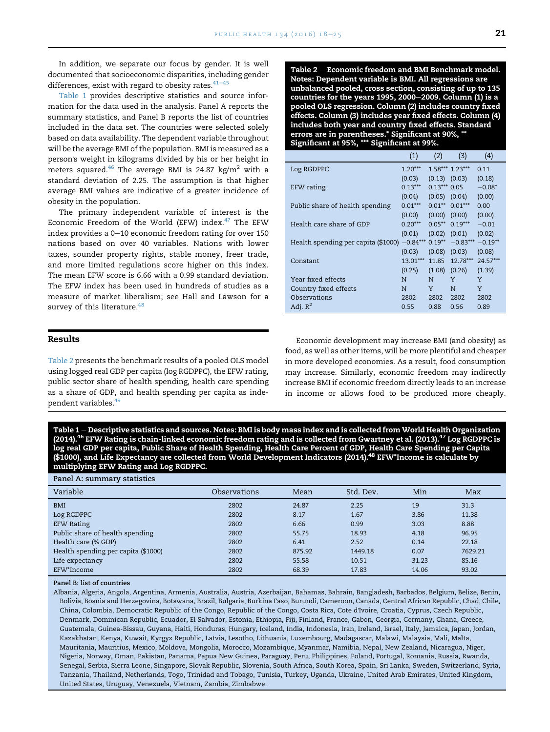<span id="page-3-0"></span>In addition, we separate our focus by gender. It is well documented that socioeconomic disparities, including gender differences, exist with regard to obesity rates. $41-45$  $41-45$  $41-45$ 

Table 1 provides descriptive statistics and source information for the data used in the analysis. Panel A reports the summary statistics, and Panel B reports the list of countries included in the data set. The countries were selected solely based on data availability. The dependent variable throughout will be the average BMI of the population. BMI is measured as a person's weight in kilograms divided by his or her height in meters squared.<sup>[46](#page-7-0)</sup> The average BMI is 24.87 kg/m<sup>2</sup> with a standard deviation of 2.25. The assumption is that higher average BMI values are indicative of a greater incidence of obesity in the population.

The primary independent variable of interest is the Economic Freedom of the World (EFW) index. $47$  The EFW index provides a  $0-10$  economic freedom rating for over 150 nations based on over 40 variables. Nations with lower taxes, sounder property rights, stable money, freer trade, and more limited regulations score higher on this index. The mean EFW score is 6.66 with a 0.99 standard deviation. The EFW index has been used in hundreds of studies as a measure of market liberalism; see Hall and Lawson for a survey of this literature.<sup>[48](#page-7-0)</sup>

#### Results

Table 2 presents the benchmark results of a pooled OLS model using logged real GDP per capita (log RGDPPC), the EFW rating, public sector share of health spending, health care spending as a share of GDP, and health spending per capita as independent variables[.49](#page-7-0)

Table  $2-$  Economic freedom and BMI Benchmark model. Notes: Dependent variable is BMI. All regressions are unbalanced pooled, cross section, consisting of up to 135 countries for the years 1995, 2000 $-$ 2009. Column (1) is a pooled OLS regression. Column (2) includes country fixed effects. Column (3) includes year fixed effects. Column (4) includes both year and country fixed effects. Standard errors are in parentheses.\* Significant at 90%, \*\* Significant at 95%, \*\*\* Significant at 99%.

|                                     | (1)        | (2)           | (3)              | (4)        |
|-------------------------------------|------------|---------------|------------------|------------|
| Log RGDPPC                          | $1.20***$  |               | $1.58***1.23***$ | 0.11       |
|                                     | (0.03)     | (0.13)        | (0.03)           | (0.18)     |
| EFW rating                          | $0.13***$  | $0.13***0.05$ |                  | $-0.08*$   |
|                                     | (0.04)     | (0.05)        | (0.04)           | (0.00)     |
| Public share of health spending     | $0.01***$  | $0.01***$     | $0.01***$        | 0.00       |
|                                     | (0.00)     | (0.00)        | (0.00)           | (0.00)     |
| Health care share of GDP            | $0.20***$  | $0.05***$     | $0.19***$        | $-0.01$    |
|                                     | (0.01)     | (0.02)        | (0.01)           | (0.02)     |
| Health spending per capita (\$1000) | $-0.84***$ | $0.19***$     | $-0.83***$       | $-0.19**$  |
|                                     | (0.03)     | (0.08)        | (0.03)           | (0.08)     |
| Constant                            | $13.01***$ | 11.85         | $12.78***$       | $24.57***$ |
|                                     | (0.25)     | (1.08)        | (0.26)           | (1.39)     |
| Year fixed effects                  | N          | N             | Y                | Y          |
| Country fixed effects               | N          | Y             | N                | Y          |
| Observations                        | 2802       | 2802          | 2802             | 2802       |
| Adj. $R^2$                          | 0.55       | 0.88          | 0.56             | 0.89       |

Economic development may increase BMI (and obesity) as food, as well as other items, will be more plentiful and cheaper in more developed economies. As a result, food consumption may increase. Similarly, economic freedom may indirectly increase BMI if economic freedom directly leads to an increase in income or allows food to be produced more cheaply.

Table 1 – Descriptive statistics and sources. Notes: BMI is body mass index and is collected from World Health Organization (2014).[46](#page-7-0) EFW Rating is chain-linked economic freedom rating and is collected from Gwartney et al. (2013).[47](#page-7-0) Log RGDPPC is log real GDP per capita, Public Share of Health Spending, Health Care Percent of GDP, Health Care Spending per Capita<br>(\$1000), and Life Expectancy are collected from World Development Indicators (2014).<sup>48</sup> EFW\*Income is c multiplying EFW Rating and Log RGDPPC.

| 7629.21 |
|---------|
|         |
|         |
| Max     |

#### Panel B: list of countries

Albania, Algeria, Angola, Argentina, Armenia, Australia, Austria, Azerbaijan, Bahamas, Bahrain, Bangladesh, Barbados, Belgium, Belize, Benin, Bolivia, Bosnia and Herzegovina, Botswana, Brazil, Bulgaria, Burkina Faso, Burundi, Cameroon, Canada, Central African Republic, Chad, Chile, China, Colombia, Democratic Republic of the Congo, Republic of the Congo, Costa Rica, Cote d'Ivoire, Croatia, Cyprus, Czech Republic, Denmark, Dominican Republic, Ecuador, El Salvador, Estonia, Ethiopia, Fiji, Finland, France, Gabon, Georgia, Germany, Ghana, Greece, Guatemala, Guinea-Bissau, Guyana, Haiti, Honduras, Hungary, Iceland, India, Indonesia, Iran, Ireland, Israel, Italy, Jamaica, Japan, Jordan, Kazakhstan, Kenya, Kuwait, Kyrgyz Republic, Latvia, Lesotho, Lithuania, Luxembourg, Madagascar, Malawi, Malaysia, Mali, Malta, Mauritania, Mauritius, Mexico, Moldova, Mongolia, Morocco, Mozambique, Myanmar, Namibia, Nepal, New Zealand, Nicaragua, Niger, Nigeria, Norway, Oman, Pakistan, Panama, Papua New Guinea, Paraguay, Peru, Philippines, Poland, Portugal, Romania, Russia, Rwanda, Senegal, Serbia, Sierra Leone, Singapore, Slovak Republic, Slovenia, South Africa, South Korea, Spain, Sri Lanka, Sweden, Switzerland, Syria, Tanzania, Thailand, Netherlands, Togo, Trinidad and Tobago, Tunisia, Turkey, Uganda, Ukraine, United Arab Emirates, United Kingdom, United States, Uruguay, Venezuela, Vietnam, Zambia, Zimbabwe.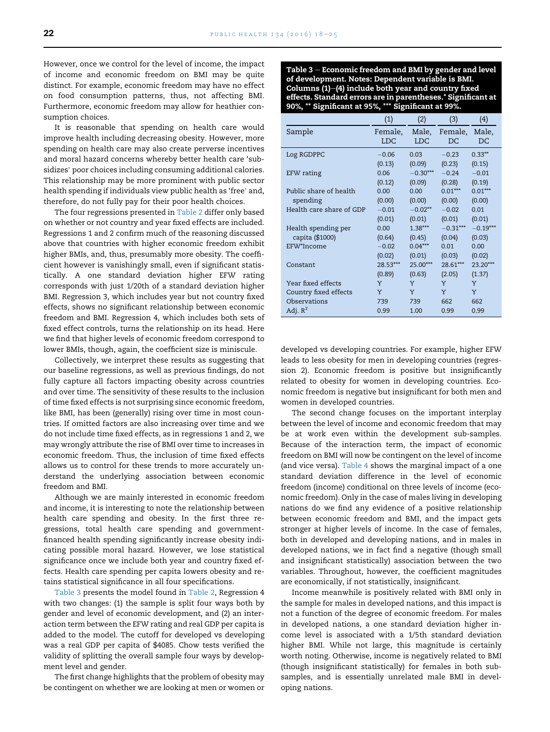<span id="page-4-0"></span>However, once we control for the level of income, the impact of income and economic freedom on BMI may be quite distinct. For example, economic freedom may have no effect on food consumption patterns, thus, not affecting BMI. Furthermore, economic freedom may allow for heathier consumption choices.

It is reasonable that spending on health care would improve health including decreasing obesity. However, more spending on health care may also create perverse incentives and moral hazard concerns whereby better health care 'sub-sidizes' poor choices including consuming additional calories. This relationship may be more prominent with public sector sidizes' poor choices including consuming additional calories.<br>This relationship may be more prominent with public sector<br>health spending if individuals view public health as 'free' and, therefore, do not fully pay for their poor health choices.

The four regressions presented in [Table 2](#page-3-0) differ only based on whether or not country and year fixed effects are included. Regressions 1 and 2 confirm much of the reasoning discussed above that countries with higher economic freedom exhibit higher BMIs, and, thus, presumably more obesity. The coefficient however is vanishingly small, even if significant statistically. A one standard deviation higher EFW rating corresponds with just 1/20th of a standard deviation higher BMI. Regression 3, which includes year but not country fixed effects, shows no significant relationship between economic freedom and BMI. Regression 4, which includes both sets of fixed effect controls, turns the relationship on its head. Here we find that higher levels of economic freedom correspond to lower BMIs, though, again, the coefficient size is miniscule.

Collectively, we interpret these results as suggesting that our baseline regressions, as well as previous findings, do not fully capture all factors impacting obesity across countries and over time. The sensitivity of these results to the inclusion of time fixed effects is not surprising since economic freedom, like BMI, has been (generally) rising over time in most countries. If omitted factors are also increasing over time and we do not include time fixed effects, as in regressions 1 and 2, we may wrongly attribute the rise of BMI over time to increases in economic freedom. Thus, the inclusion of time fixed effects allows us to control for these trends to more accurately understand the underlying association between economic freedom and BMI.

Although we are mainly interested in economic freedom and income, it is interesting to note the relationship between health care spending and obesity. In the first three regressions, total health care spending and governmentfinanced health spending significantly increase obesity indicating possible moral hazard. However, we lose statistical significance once we include both year and country fixed effects. Health care spending per capita lowers obesity and retains statistical significance in all four specifications.

Table 3 presents the model found in [Table 2,](#page-3-0) Regression 4 with two changes: (1) the sample is split four ways both by gender and level of economic development, and (2) an interaction term between the EFW rating and real GDP per capita is added to the model. The cutoff for developed vs developing was a real GDP per capita of \$4085. Chow tests verified the validity of splitting the overall sample four ways by development level and gender.

The first change highlights that the problem of obesity may be contingent on whether we are looking at men or women or Table  $3$  – Economic freedom and BMI by gender and level of development. Notes: Dependent variable is BMI. Columns  $(1)$ – $(4)$  include both year and country fixed effects. Standard errors are in parentheses.\* Significant at 90%, \*\* Significant at 95%, \*\*\* Significant at 99%.

|                          | (1)        | (2)        | (3)        | (4)        |
|--------------------------|------------|------------|------------|------------|
| Sample                   | Female,    | Male,      | Female,    | Male,      |
|                          | <b>LDC</b> | <b>LDC</b> | DC         | DC         |
| Log RGDPPC               | $-0.06$    | 0.03       | $-0.23$    | $0.33***$  |
|                          | (0.13)     | (0.09)     | (0.23)     | (0.15)     |
| EFW rating               | 0.06       | $-0.30***$ | $-0.24$    | $-0.01$    |
|                          | (0.12)     | (0.09)     | (0.28)     | (0.19)     |
| Public share of health   | 0.00       | 0.00       | $0.01***$  | $0.01***$  |
| spending                 | (0.00)     | (0.00)     | (0.00)     | (0.00)     |
| Health care share of GDP | $-0.01$    | $-0.02**$  | $-0.02$    | 0.01       |
|                          | (0.01)     | (0.01)     | (0.01)     | (0.01)     |
| Health spending per      | 0.00       | $1.38***$  | $-0.31***$ | $-0.19***$ |
| capita (\$1000)          | (0.64)     | (0.45)     | (0.04)     | (0.03)     |
| EFW*Income               | $-0.02$    | $0.04***$  | 0.01       | 0.00       |
|                          | (0.02)     | (0.01)     | (0.03)     | (0.02)     |
| Constant                 | 28.53***   | 25.00***   | 28.61***   | 23.20***   |
|                          | (0.89)     | (0.63)     | (2.05)     | (1.37)     |
| Year fixed effects       | Y          | Y          | Y          | Y          |
| Country fixed effects    | Y          | Y          | Y          | Y          |
| Observations             | 739        | 739        | 662        | 662        |
| Adj. $R^2$               | 0.99       | 1.00       | 0.99       | 0.99       |

developed vs developing countries. For example, higher EFW leads to less obesity for men in developing countries (regression 2). Economic freedom is positive but insignificantly related to obesity for women in developing countries. Economic freedom is negative but insignificant for both men and women in developed countries.

The second change focuses on the important interplay between the level of income and economic freedom that may be at work even within the development sub-samples. Because of the interaction term, the impact of economic freedom on BMI will now be contingent on the level of income (and vice versa). [Table 4](#page-5-0) shows the marginal impact of a one standard deviation difference in the level of economic freedom (income) conditional on three levels of income (economic freedom). Only in the case of males living in developing nations do we find any evidence of a positive relationship between economic freedom and BMI, and the impact gets stronger at higher levels of income. In the case of females, both in developed and developing nations, and in males in developed nations, we in fact find a negative (though small and insignificant statistically) association between the two variables. Throughout, however, the coefficient magnitudes are economically, if not statistically, insignificant.

Income meanwhile is positively related with BMI only in the sample for males in developed nations, and this impact is not a function of the degree of economic freedom. For males in developed nations, a one standard deviation higher income level is associated with a 1/5th standard deviation higher BMI. While not large, this magnitude is certainly worth noting. Otherwise, income is negatively related to BMI (though insignificant statistically) for females in both subsamples, and is essentially unrelated male BMI in developing nations.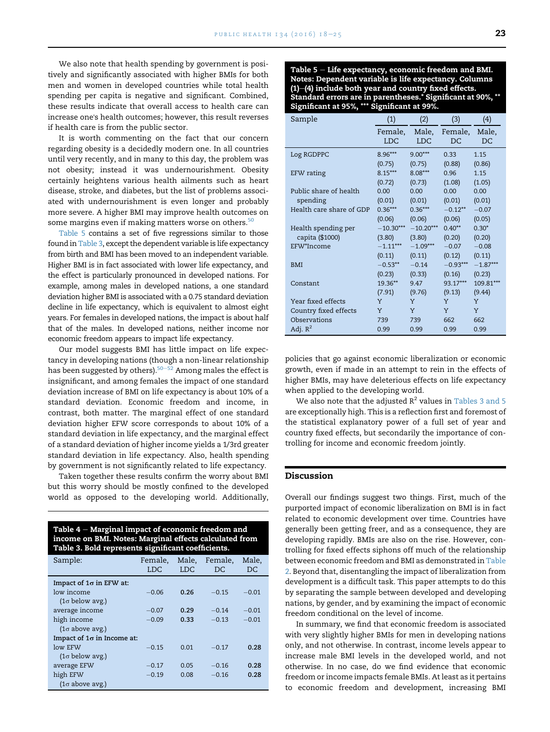<span id="page-5-0"></span>We also note that health spending by government is positively and significantly associated with higher BMIs for both men and women in developed countries while total health spending per capita is negative and significant. Combined, these results indicate that overall access to health care can increase one's health outcomes; however, this result reverses if health care is from the public sector.

It is worth commenting on the fact that our concern regarding obesity is a decidedly modern one. In all countries until very recently, and in many to this day, the problem was not obesity; instead it was undernourishment. Obesity certainly heightens various health ailments such as heart disease, stroke, and diabetes, but the list of problems associated with undernourishment is even longer and probably more severe. A higher BMI may improve health outcomes on some margins even if making matters worse on others.<sup>[50](#page-7-0)</sup>

Table 5 contains a set of five regressions similar to those found in [Table 3](#page-4-0), except the dependent variable is life expectancy from birth and BMI has been moved to an independent variable. Higher BMI is in fact associated with lower life expectancy, and the effect is particularly pronounced in developed nations. For example, among males in developed nations, a one standard deviation higher BMI is associated with a 0.75 standard deviation decline in life expectancy, which is equivalent to almost eight years. For females in developed nations, the impact is about half that of the males. In developed nations, neither income nor economic freedom appears to impact life expectancy.

Our model suggests BMI has little impact on life expectancy in developing nations (though a non-linear relationship has been suggested by others). $50-52$  $50-52$  Among males the effect is insignificant, and among females the impact of one standard deviation increase of BMI on life expectancy is about 10% of a standard deviation. Economic freedom and income, in contrast, both matter. The marginal effect of one standard deviation higher EFW score corresponds to about 10% of a standard deviation in life expectancy, and the marginal effect of a standard deviation of higher income yields a 1/3rd greater standard deviation in life expectancy. Also, health spending by government is not significantly related to life expectancy.

Taken together these results confirm the worry about BMI but this worry should be mostly confined to the developed world as opposed to the developing world. Additionally,

| Table $4$ $-$ Marginal impact of economic freedom and<br>income on BMI. Notes: Marginal effects calculated from<br>Table 3. Bold represents significant coefficients. |                |               |                |             |
|-----------------------------------------------------------------------------------------------------------------------------------------------------------------------|----------------|---------------|----------------|-------------|
| Sample:                                                                                                                                                               | Female,<br>LDC | Male,<br>LDC. | Female,<br>DC. | Male,<br>DC |
| Impact of $1\sigma$ in EFW at:                                                                                                                                        |                |               |                |             |
| low income                                                                                                                                                            | $-0.06$        | 0.26          | $-0.15$        | $-0.01$     |
| $(1\sigma$ below avg.)                                                                                                                                                |                |               |                |             |
| average income                                                                                                                                                        | $-0.07$        | 0.29          | $-0.14$        | $-0.01$     |
| high income                                                                                                                                                           | $-0.09$        | 0.33          | $-0.13$        | $-0.01$     |
| $(1\sigma$ above avg.)                                                                                                                                                |                |               |                |             |
| Impact of $1\sigma$ in Income at:                                                                                                                                     |                |               |                |             |
| low EFW                                                                                                                                                               | $-0.15$        | 0.01          | $-0.17$        | 0.28        |
| $(1\sigma$ below avg.)                                                                                                                                                |                |               |                |             |
| average EFW                                                                                                                                                           | $-0.17$        | 0.05          | $-0.16$        | 0.28        |
| high EFW                                                                                                                                                              | $-0.19$        | 0.08          | $-0.16$        | 0.28        |
| $(1\sigma$ above avg.)                                                                                                                                                |                |               |                |             |

| Table $5$ – Life expectancy, economic freedom and BMI.      |
|-------------------------------------------------------------|
| Notes: Dependent variable is life expectancy. Columns       |
| $(1)$ – $(4)$ include both year and country fixed effects.  |
| Standard errors are in parentheses.* Significant at 90%, ** |
| Significant at 95%, *** Significant at 99%.                 |

| Sample                   | (1)         | (2)         | (3)        | (4)        |
|--------------------------|-------------|-------------|------------|------------|
|                          | Female,     | Male,       | Female,    | Male,      |
|                          | <b>LDC</b>  | <b>LDC</b>  | DC         | DC         |
| Log RGDPPC               | 8.96***     | $9.00***$   | 0.33       | 1.15       |
|                          | (0.75)      | (0.75)      | (0.88)     | (0.86)     |
| EFW rating               | $8.15***$   | $8.08***$   | 0.96       | 1.15       |
|                          | (0.72)      | (0.73)      | (1.08)     | (1.05)     |
| Public share of health   | 0.00        | 0.00        | 0.00       | 0.00       |
| spending                 | (0.01)      | (0.01)      | (0.01)     | (0.01)     |
| Health care share of GDP | $0.36***$   | $0.36***$   | $-0.12**$  | $-0.07$    |
|                          | (0.06)      | (0.06)      | (0.06)     | (0.05)     |
| Health spending per      | $-10.30***$ | $-10.20***$ | $0.40**$   | $0.30*$    |
| capita (\$1000)          | (3.80)      | (3.80)      | (0.20)     | (0.20)     |
| EFW*Income               | $-1.11***$  | $-1.09***$  | $-0.07$    | $-0.08$    |
|                          | (0.11)      | (0.11)      | (0.12)     | (0.11)     |
| <b>BMI</b>               | $-0.53**$   | $-0.14$     | $-0.93***$ | $-1.87***$ |
|                          | (0.23)      | (0.33)      | (0.16)     | (0.23)     |
| Constant                 | 19.36**     | 9.47        | 93.17***   | 109.81***  |
|                          | (7.91)      | (9.76)      | (9.13)     | (9.44)     |
| Year fixed effects       | Y           | Y           | Y          | Y          |
| Country fixed effects    | Y           | Y           | Y          | Y          |
| Observations             | 739         | 739         | 662        | 662        |
| Adj. $R^2$               | 0.99        | 0.99        | 0.99       | 0.99       |

policies that go against economic liberalization or economic growth, even if made in an attempt to rein in the effects of higher BMIs, may have deleterious effects on life expectancy when applied to the developing world.

We also note that the adjusted  $R^2$  values in [Tables 3 and 5](#page-4-0) are exceptionally high. This is a reflection first and foremost of the statistical explanatory power of a full set of year and country fixed effects, but secondarily the importance of controlling for income and economic freedom jointly.

#### Discussion

Overall our findings suggest two things. First, much of the purported impact of economic liberalization on BMI is in fact related to economic development over time. Countries have generally been getting freer, and as a consequence, they are developing rapidly. BMIs are also on the rise. However, controlling for fixed effects siphons off much of the relationship between economic freedom and BMI as demonstrated in [Table](#page-3-0) [2](#page-3-0). Beyond that, disentangling the impact of liberalization from development is a difficult task. This paper attempts to do this by separating the sample between developed and developing nations, by gender, and by examining the impact of economic freedom conditional on the level of income.

In summary, we find that economic freedom is associated with very slightly higher BMIs for men in developing nations only, and not otherwise. In contrast, income levels appear to increase male BMI levels in the developed world, and not otherwise. In no case, do we find evidence that economic freedom or income impacts female BMIs. At least as it pertains to economic freedom and development, increasing BMI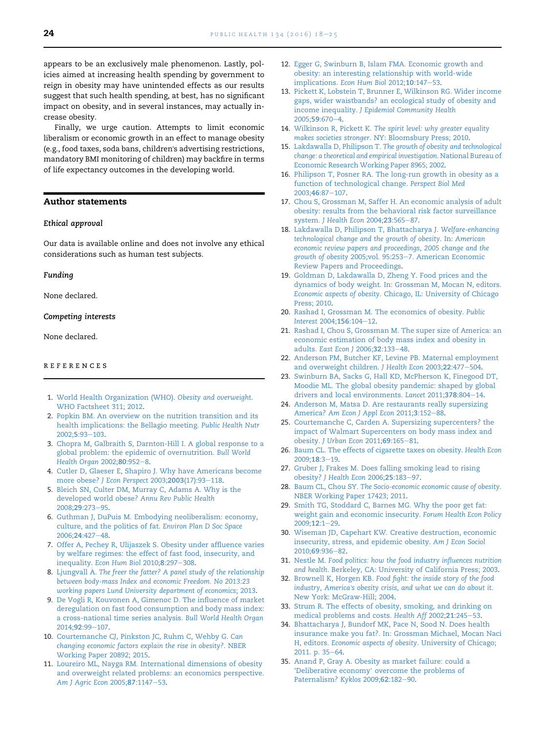<span id="page-6-0"></span>appears to be an exclusively male phenomenon. Lastly, policies aimed at increasing health spending by government to reign in obesity may have unintended effects as our results suggest that such health spending, at best, has no significant impact on obesity, and in several instances, may actually increase obesity.

Finally, we urge caution. Attempts to limit economic liberalism or economic growth in an effect to manage obesity (e.g., food taxes, soda bans, children's advertising restrictions, mandatory BMI monitoring of children) may backfire in terms of life expectancy outcomes in the developing world.

#### Author statements

#### Ethical approval

Our data is available online and does not involve any ethical considerations such as human test subjects.

#### Funding

None declared.

#### Competing interests

None declared.

#### references

- 1. [World Health Organization \(WHO\).](http://refhub.elsevier.com/S0033-3506(16)00039-1/sref1) Obesity and overweight. [WHO Factsheet 311; 2012.](http://refhub.elsevier.com/S0033-3506(16)00039-1/sref1)
- 2. [Popkin BM. An overview on the nutrition transition and its](http://refhub.elsevier.com/S0033-3506(16)00039-1/sref2) [health implications: the Bellagio meeting.](http://refhub.elsevier.com/S0033-3506(16)00039-1/sref2) Public Health Nutr [2002;](http://refhub.elsevier.com/S0033-3506(16)00039-1/sref2)5:93-[103.](http://refhub.elsevier.com/S0033-3506(16)00039-1/sref2)
- 3. [Chopra M, Galbraith S, Darnton-Hill I. A global response to a](http://refhub.elsevier.com/S0033-3506(16)00039-1/sref3) [global problem: the epidemic of overnutrition.](http://refhub.elsevier.com/S0033-3506(16)00039-1/sref3) Bull World [Health Organ](http://refhub.elsevier.com/S0033-3506(16)00039-1/sref3) 2002;[8](http://refhub.elsevier.com/S0033-3506(16)00039-1/sref3)0:952-8.
- 4. [Cutler D, Glaeser E, Shapiro J. Why have Americans become](http://refhub.elsevier.com/S0033-3506(16)00039-1/sref4) more obese? [J Econ Perspect](http://refhub.elsevier.com/S0033-3506(16)00039-1/sref4) 2003;2003(17):93-[118.](http://refhub.elsevier.com/S0033-3506(16)00039-1/sref4)
- 5. [Bleich SN, Culter DM, Murray C, Adams A. Why is the](http://refhub.elsevier.com/S0033-3506(16)00039-1/sref5) [developed world obese?](http://refhub.elsevier.com/S0033-3506(16)00039-1/sref5) Annu Rev Public Health [2008;](http://refhub.elsevier.com/S0033-3506(16)00039-1/sref5)29:273-[95](http://refhub.elsevier.com/S0033-3506(16)00039-1/sref5).
- 6. [Guthman J, DuPuis M. Embodying neoliberalism: economy,](http://refhub.elsevier.com/S0033-3506(16)00039-1/sref6) [culture, and the politics of fat.](http://refhub.elsevier.com/S0033-3506(16)00039-1/sref6) Environ Plan D Soc Space [2006;](http://refhub.elsevier.com/S0033-3506(16)00039-1/sref6)24:427-[48](http://refhub.elsevier.com/S0033-3506(16)00039-1/sref6).
- 7. [Offer A, Pechey R, Ulijaszek S. Obesity under affluence varies](http://refhub.elsevier.com/S0033-3506(16)00039-1/sref7) [by welfare regimes: the effect of fast food, insecurity, and](http://refhub.elsevier.com/S0033-3506(16)00039-1/sref7) inequality. [Econ Hum Biol](http://refhub.elsevier.com/S0033-3506(16)00039-1/sref7) 2010;8:297-[308.](http://refhub.elsevier.com/S0033-3506(16)00039-1/sref7)
- 8. [Ljungvall](http://refhub.elsevier.com/S0033-3506(16)00039-1/sref8) Å. [The freer the fatter? A panel study of the relationship](http://refhub.elsevier.com/S0033-3506(16)00039-1/sref8) [between body-mass Index and economic Freedom. No 2013:23](http://refhub.elsevier.com/S0033-3506(16)00039-1/sref8) [working papers Lund University department of economics](http://refhub.elsevier.com/S0033-3506(16)00039-1/sref8); 2013.
- 9. [De Vogli R, Kouvonen A, Gimenoc D. The influence of market](http://refhub.elsevier.com/S0033-3506(16)00039-1/sref9) [deregulation on fast food consumption and body mass index:](http://refhub.elsevier.com/S0033-3506(16)00039-1/sref9) [a cross-national time series analysis.](http://refhub.elsevier.com/S0033-3506(16)00039-1/sref9) Bull World Health Organ [2014;](http://refhub.elsevier.com/S0033-3506(16)00039-1/sref9)92:99-[107](http://refhub.elsevier.com/S0033-3506(16)00039-1/sref9).
- 10. [Courtemanche CJ, Pinkston JC, Ruhm C, Wehby G.](http://refhub.elsevier.com/S0033-3506(16)00039-1/sref10) Can [changing economic factors explain the rise in obesity?](http://refhub.elsevier.com/S0033-3506(16)00039-1/sref10). NBER [Working Paper 20892; 2015](http://refhub.elsevier.com/S0033-3506(16)00039-1/sref10).
- 11. [Loureiro ML, Nayga RM. International dimensions of obesity](http://refhub.elsevier.com/S0033-3506(16)00039-1/sref11) [and overweight related problems: an economics perspective.](http://refhub.elsevier.com/S0033-3506(16)00039-1/sref11) [Am J Agric Econ](http://refhub.elsevier.com/S0033-3506(16)00039-1/sref11) 2005;87:1147-[53](http://refhub.elsevier.com/S0033-3506(16)00039-1/sref11).
- 12. [Egger G, Swinburn B, Islam FMA. Economic growth and](http://refhub.elsevier.com/S0033-3506(16)00039-1/sref12) [obesity: an interesting relationship with world-wide](http://refhub.elsevier.com/S0033-3506(16)00039-1/sref12) implications. [Econ Hum Biol](http://refhub.elsevier.com/S0033-3506(16)00039-1/sref12) 2012;10:147-[53.](http://refhub.elsevier.com/S0033-3506(16)00039-1/sref12)
- 13. [Pickett K, Lobstein T, Brunner E, Wilkinson RG. Wider income](http://refhub.elsevier.com/S0033-3506(16)00039-1/sref13) [gaps, wider waistbands? an ecological study of obesity and](http://refhub.elsevier.com/S0033-3506(16)00039-1/sref13) income inequality. [J Epidemiol Community Health](http://refhub.elsevier.com/S0033-3506(16)00039-1/sref13) [2005;](http://refhub.elsevier.com/S0033-3506(16)00039-1/sref13)59:670-[4](http://refhub.elsevier.com/S0033-3506(16)00039-1/sref13).
- 14. Wilkinson R, Pickett K. [The spirit level: why greater equality](http://refhub.elsevier.com/S0033-3506(16)00039-1/sref14) makes societies stronger[. NY: Bloomsbury Press; 2010](http://refhub.elsevier.com/S0033-3506(16)00039-1/sref14).
- 15. Lakdawalla D, Philipson T. [The growth of obesity and technological](http://refhub.elsevier.com/S0033-3506(16)00039-1/sref15) [change: a theoretical and empirical investigation](http://refhub.elsevier.com/S0033-3506(16)00039-1/sref15). National Bureau of [Economic Research Working Paper 8965; 2002](http://refhub.elsevier.com/S0033-3506(16)00039-1/sref15).
- 16. [Philipson T, Posner RA. The long-run growth in obesity as a](http://refhub.elsevier.com/S0033-3506(16)00039-1/sref16) [function of technological change.](http://refhub.elsevier.com/S0033-3506(16)00039-1/sref16) Perspect Biol Med  $2003:46:87-107$ .
- 17. [Chou S, Grossman M, Saffer H. An economic analysis of adult](http://refhub.elsevier.com/S0033-3506(16)00039-1/sref17) [obesity: results from the behavioral risk factor surveillance](http://refhub.elsevier.com/S0033-3506(16)00039-1/sref17) system. [J Health Econ](http://refhub.elsevier.com/S0033-3506(16)00039-1/sref17) 2004;23:565-[87.](http://refhub.elsevier.com/S0033-3506(16)00039-1/sref17)
- 18. [Lakdawalla D, Philipson T, Bhattacharya J.](http://refhub.elsevier.com/S0033-3506(16)00039-1/sref18) Welfare-enhancing [technological change and the growth of obesity](http://refhub.elsevier.com/S0033-3506(16)00039-1/sref18). In: American [economic review papers and proceedings, 2005 change and the](http://refhub.elsevier.com/S0033-3506(16)00039-1/sref18) [growth of obesity](http://refhub.elsevier.com/S0033-3506(16)00039-1/sref18) 2005;vol. 95:253-[7. American Economic](http://refhub.elsevier.com/S0033-3506(16)00039-1/sref18) [Review Papers and Proceedings.](http://refhub.elsevier.com/S0033-3506(16)00039-1/sref18)
- 19. [Goldman D, Lakdawalla D, Zheng Y. Food prices and the](http://refhub.elsevier.com/S0033-3506(16)00039-1/sref19) [dynamics of body weight. In: Grossman M, Mocan N, editors.](http://refhub.elsevier.com/S0033-3506(16)00039-1/sref19) Economic aspects of obesity[. Chicago, IL: University of Chicago](http://refhub.elsevier.com/S0033-3506(16)00039-1/sref19) [Press; 2010.](http://refhub.elsevier.com/S0033-3506(16)00039-1/sref19)
- 20. [Rashad I, Grossman M. The economics of obesity.](http://refhub.elsevier.com/S0033-3506(16)00039-1/sref20) Public [Interest](http://refhub.elsevier.com/S0033-3506(16)00039-1/sref20) 2004;156:104-[12.](http://refhub.elsevier.com/S0033-3506(16)00039-1/sref20)
- 21. [Rashad I, Chou S, Grossman M. The super size of America: an](http://refhub.elsevier.com/S0033-3506(16)00039-1/sref21) [economic estimation of body mass index and obesity in](http://refhub.elsevier.com/S0033-3506(16)00039-1/sref21) adults. [East Econ J](http://refhub.elsevier.com/S0033-3506(16)00039-1/sref21) 2006;32:133-[48.](http://refhub.elsevier.com/S0033-3506(16)00039-1/sref21)
- 22. [Anderson PM, Butcher KF, Levine PB. Maternal employment](http://refhub.elsevier.com/S0033-3506(16)00039-1/sref22) [and overweight children.](http://refhub.elsevier.com/S0033-3506(16)00039-1/sref22) J Health Econ 2003;22:477-[504](http://refhub.elsevier.com/S0033-3506(16)00039-1/sref22).
- 23. [Swinburn BA, Sacks G, Hall KD, McPherson K, Finegood DT,](http://refhub.elsevier.com/S0033-3506(16)00039-1/sref23) [Moodie ML. The global obesity pandemic: shaped by global](http://refhub.elsevier.com/S0033-3506(16)00039-1/sref23) [drivers and local environments.](http://refhub.elsevier.com/S0033-3506(16)00039-1/sref23) Lancet 2011;378:804-[14](http://refhub.elsevier.com/S0033-3506(16)00039-1/sref23).
- 24. [Anderson M, Matsa D. Are restaurants really supersizing](http://refhub.elsevier.com/S0033-3506(16)00039-1/sref24) America? [Am Econ J Appl Econ](http://refhub.elsevier.com/S0033-3506(16)00039-1/sref24) 2011;3:152-[88.](http://refhub.elsevier.com/S0033-3506(16)00039-1/sref24)
- 25. [Courtemanche C, Carden A. Supersizing supercenters? the](http://refhub.elsevier.com/S0033-3506(16)00039-1/sref25) [impact of Walmart Supercenters on body mass index and](http://refhub.elsevier.com/S0033-3506(16)00039-1/sref25) obesity. [J Urban Econ](http://refhub.elsevier.com/S0033-3506(16)00039-1/sref25) 2011;69:165-[81.](http://refhub.elsevier.com/S0033-3506(16)00039-1/sref25)
- 26. [Baum CL. The effects of cigarette taxes on obesity.](http://refhub.elsevier.com/S0033-3506(16)00039-1/sref26) Health Econ [2009;](http://refhub.elsevier.com/S0033-3506(16)00039-1/sref26)18:3-[19](http://refhub.elsevier.com/S0033-3506(16)00039-1/sref26).
- 27. [Gruber J, Frakes M. Does falling smoking lead to rising](http://refhub.elsevier.com/S0033-3506(16)00039-1/sref27) obesity? [J Health Econ](http://refhub.elsevier.com/S0033-3506(16)00039-1/sref27) 2006;25:183-[97](http://refhub.elsevier.com/S0033-3506(16)00039-1/sref27).
- 28. Baum CL, Chou SY. [The Socio-economic economic cause of obesity](http://refhub.elsevier.com/S0033-3506(16)00039-1/sref28). [NBER Working Paper 17423; 2011.](http://refhub.elsevier.com/S0033-3506(16)00039-1/sref28)
- 29. [Smith TG, Stoddard C, Barnes MG. Why the poor get fat:](http://refhub.elsevier.com/S0033-3506(16)00039-1/sref29) [weight gain and economic insecurity.](http://refhub.elsevier.com/S0033-3506(16)00039-1/sref29) Forum Health Econ Policy [2009;](http://refhub.elsevier.com/S0033-3506(16)00039-1/sref29)12:1-[29](http://refhub.elsevier.com/S0033-3506(16)00039-1/sref29).
- 30. [Wiseman JD, Capehart KW. Creative destruction, economic](http://refhub.elsevier.com/S0033-3506(16)00039-1/sref30) [insecurity, stress, and epidemic obesity.](http://refhub.elsevier.com/S0033-3506(16)00039-1/sref30) Am J Econ Sociol [2010;](http://refhub.elsevier.com/S0033-3506(16)00039-1/sref30)69:936-[82.](http://refhub.elsevier.com/S0033-3506(16)00039-1/sref30)
- 31. Nestle M. [Food politics: how the food industry influences nutrition](http://refhub.elsevier.com/S0033-3506(16)00039-1/sref31) and health[. Berkeley, CA: University of California Press; 2003](http://refhub.elsevier.com/S0033-3506(16)00039-1/sref31).
- 32. Brownell K, Horgen KB. [Food fight: the inside story of the food](http://refhub.elsevier.com/S0033-3506(16)00039-1/sref32) industry, America'[s obesity crisis, and what we can do about it](http://refhub.elsevier.com/S0033-3506(16)00039-1/sref32). [New York: McGraw-Hill; 2004](http://refhub.elsevier.com/S0033-3506(16)00039-1/sref32).
- 33. [Strum R. The effects of obesity, smoking, and drinking on](http://refhub.elsevier.com/S0033-3506(16)00039-1/sref33) [medical problems and costs.](http://refhub.elsevier.com/S0033-3506(16)00039-1/sref33) Health Aff 2002;21:245-[53](http://refhub.elsevier.com/S0033-3506(16)00039-1/sref33).
- 34. [Bhattacharya J, Bundorf MK, Pace N, Sood N. Does health](http://refhub.elsevier.com/S0033-3506(16)00039-1/sref34) [insurance make you fat?. In: Grossman Michael, Mocan Naci](http://refhub.elsevier.com/S0033-3506(16)00039-1/sref34) H, editors. [Economic aspects of obesity](http://refhub.elsevier.com/S0033-3506(16)00039-1/sref34). University of Chicago; [2011. p. 35](http://refhub.elsevier.com/S0033-3506(16)00039-1/sref34)-[64](http://refhub.elsevier.com/S0033-3506(16)00039-1/sref34).
- 35. [Anand P, Gray A. Obesity as market failure: could a](http://refhub.elsevier.com/S0033-3506(16)00039-1/sref35) 'Deliberative economy' [overcome the problems of](http://refhub.elsevier.com/S0033-3506(16)00039-1/sref35) [Paternalism?](http://refhub.elsevier.com/S0033-3506(16)00039-1/sref35) Kyklos 2009;62:182-[90](http://refhub.elsevier.com/S0033-3506(16)00039-1/sref35).